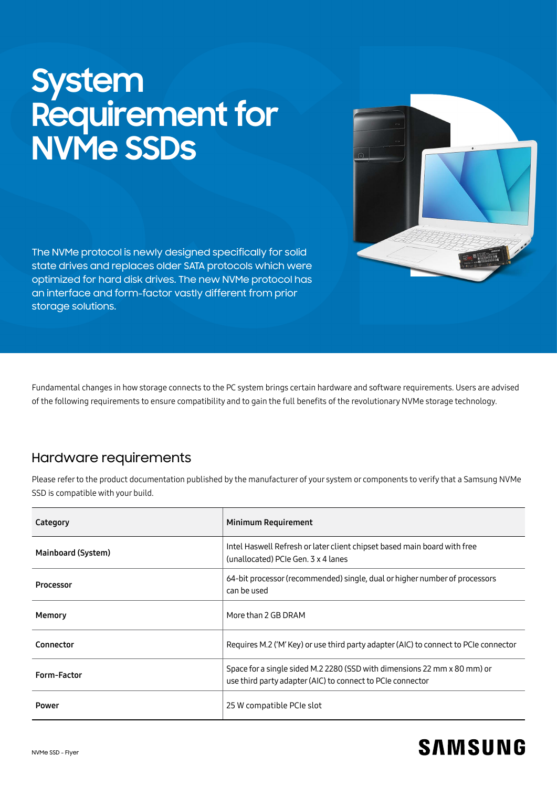# **System Requirement for NVMe SSDs**

The NVMe protocol is newly designed specifically for solid state drives and replaces older SATA protocols which were optimized for hard disk drives. The new NVMe protocol has an interface and form-factor vastly different from prior storage solutions.

Fundamental changes in how storage connects to the PC system brings certain hardware and software requirements. Users are advised of the following requirements to ensure compatibility and to gain the full benefits of the revolutionary NVMe storage technology.

# Hardware requirements

Please refer to the product documentation published by the manufacturer of your system or components to verify that a Samsung NVMe SSD is compatible with your build.

| Category           | Minimum Requirement                                                                                                                    |
|--------------------|----------------------------------------------------------------------------------------------------------------------------------------|
| Mainboard (System) | Intel Haswell Refresh or later client chipset based main board with free<br>(unallocated) PCIe Gen. 3 x 4 lanes                        |
| Processor          | 64-bit processor (recommended) single, dual or higher number of processors<br>can be used                                              |
| Memory             | More than 2 GB DRAM                                                                                                                    |
| Connector          | Requires M.2 ('M' Key) or use third party adapter (AIC) to connect to PCIe connector                                                   |
| Form-Factor        | Space for a single sided M.2 2280 (SSD with dimensions 22 mm x 80 mm) or<br>use third party adapter (AIC) to connect to PCIe connector |
| Power              | 25 W compatible PCIe slot                                                                                                              |



# **SAMSUNG**